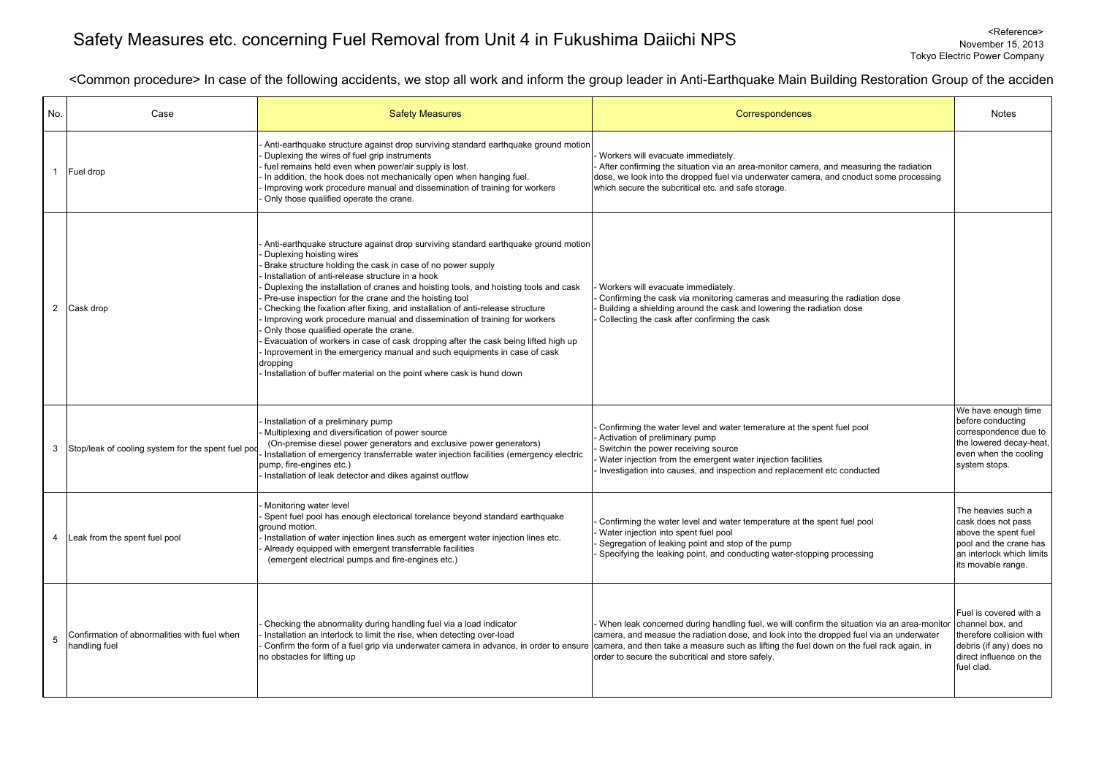## Safety Measures etc. concerning Fuel Removal from Unit 4 in Fukushima Daiichi NPS <Reference> November 15, 2013

<Common procedure> In case of the following accidents, we stop all work and inform the group leader in Anti-Earthquake Main Building Restoration Group of the accide n

| No. | Case                                                          | <b>Safety Measures</b>                                                                                                                                                                                                                                                                                                                                                                                                                                                                                                                                                                                                                                                                                                                                                                                                                             | Correspondences                                                                                                                                                                                                                                                                                                                                                                                                              | <b>Notes</b>                                                                                                                                  |
|-----|---------------------------------------------------------------|----------------------------------------------------------------------------------------------------------------------------------------------------------------------------------------------------------------------------------------------------------------------------------------------------------------------------------------------------------------------------------------------------------------------------------------------------------------------------------------------------------------------------------------------------------------------------------------------------------------------------------------------------------------------------------------------------------------------------------------------------------------------------------------------------------------------------------------------------|------------------------------------------------------------------------------------------------------------------------------------------------------------------------------------------------------------------------------------------------------------------------------------------------------------------------------------------------------------------------------------------------------------------------------|-----------------------------------------------------------------------------------------------------------------------------------------------|
|     | Fuel drop                                                     | Anti-earthquake structure against drop surviving standard earthquake ground motion<br>Duplexing the wires of fuel grip instruments<br>fuel remains held even when power/air supply is lost.<br>In addition, the hook does not mechanically open when hanging fuel.<br>Improving work procedure manual and dissemination of training for workers<br>Only those qualified operate the crane.                                                                                                                                                                                                                                                                                                                                                                                                                                                         | Workers will evacuate immediately.<br>After confirming the situation via an area-monitor camera, and measuring the radiation<br>dose, we look into the dropped fuel via underwater camera, and cnoduct some processing<br>which secure the subcritical etc. and safe storage.                                                                                                                                                |                                                                                                                                               |
|     | 2 Cask drop                                                   | Anti-earthquake structure against drop surviving standard earthquake ground motion<br>Duplexing hoisting wires<br>Brake structure holding the cask in case of no power supply<br>Installation of anti-release structure in a hook<br>Duplexing the installation of cranes and hoisting tools, and hoisting tools and cask<br>Pre-use inspection for the crane and the hoisting tool<br>Checking the fixation after fixing, and installation of anti-release structure<br>Improving work procedure manual and dissemination of training for workers<br>Only those qualified operate the crane.<br>Evacuation of workers in case of cask dropping after the cask being lifted high up<br>Inprovement in the emergency manual and such equipments in case of cask<br>dropping<br>Installation of buffer material on the point where cask is hund down | Workers will evacuate immediately.<br>Confirming the cask via monitoring cameras and measuring the radiation dose<br>Building a shielding around the cask and lowering the radiation dose<br>Collecting the cask after confirming the cask                                                                                                                                                                                   |                                                                                                                                               |
| 3   | Stop/leak of cooling system for the spent fuel pod            | Installation of a preliminary pump<br>Multiplexing and diversification of power source<br>(On-premise diesel power generators and exclusive power generators)<br>Installation of emergency transferrable water injection facilities (emergency electric<br>pump, fire-engines etc.)<br>Installation of leak detector and dikes against outflow                                                                                                                                                                                                                                                                                                                                                                                                                                                                                                     | Confirming the water level and water temerature at the spent fuel pool<br>Activation of preliminary pump<br>Switchin the power receiving source<br>Water injection from the emergent water injection facilities<br>Investigation into causes, and inspection and replacement etc conducted                                                                                                                                   | We have enough time<br>before conducting<br>correspondence due to<br>the lowered decay-heat,<br>even when the cooling<br>system stops.        |
| 4   | Leak from the spent fuel pool                                 | Monitoring water level<br>Spent fuel pool has enough electorical torelance beyond standard earthquake<br>ground motion.<br>Installation of water injection lines such as emergent water injection lines etc.<br>Already equipped with emergent transferrable facilities<br>(emergent electrical pumps and fire-engines etc.)                                                                                                                                                                                                                                                                                                                                                                                                                                                                                                                       | Confirming the water level and water temperature at the spent fuel pool<br>Water injection into spent fuel pool<br>Segregation of leaking point and stop of the pump<br>Specifying the leaking point, and conducting water-stopping processing                                                                                                                                                                               | The heavies such a<br>cask does not pass<br>above the spent fuel<br>pool and the crane has<br>an interlock which limits<br>its movable range. |
| 5   | Confirmation of abnormalities with fuel when<br>handling fuel | Checking the abnormality during handling fuel via a load indicator<br>Installation an interlock to limit the rise, when detecting over-load<br>no obstacles for lifting up                                                                                                                                                                                                                                                                                                                                                                                                                                                                                                                                                                                                                                                                         | When leak concerned during handling fuel, we will confirm the situation via an area-monitor<br>camera, and measue the radiation dose, and look into the dropped fuel via an underwater<br>Confirm the form of a fuel grip via underwater camera in advance, in order to ensure camera, and then take a measure such as lifting the fuel down on the fuel rack again, in<br>order to secure the subcritical and store safely. | Fuel is covered with a<br>channel box, and<br>therefore collision with<br>debris (if any) does no<br>direct influence on the<br>fuel clad.    |

## Tokyo Electric Power Company